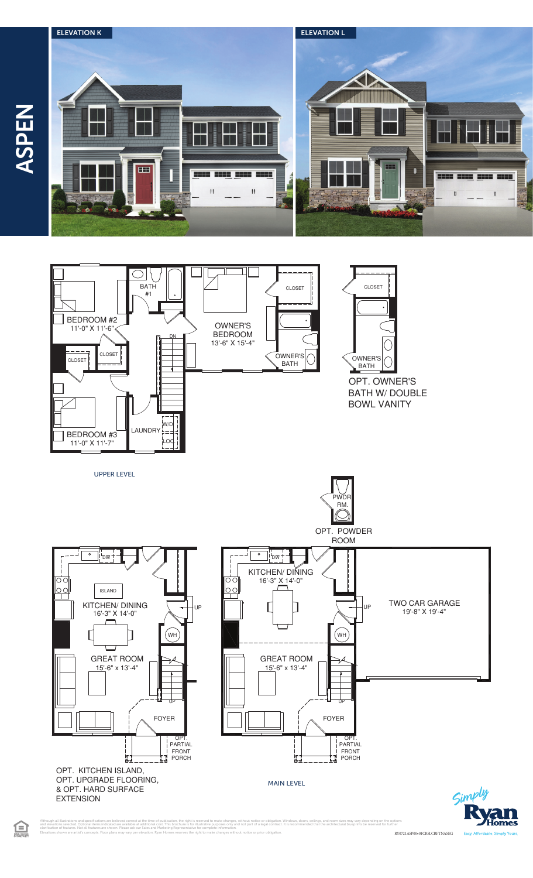





& OPT. HARD SURFACE

**EXTENSION** 

旦



MAIN LEVEL